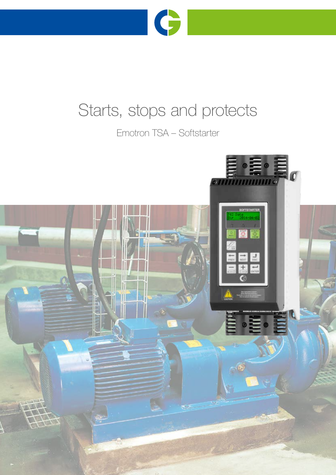

# Starts, stops and protects

Emotron TSA – Softstarter

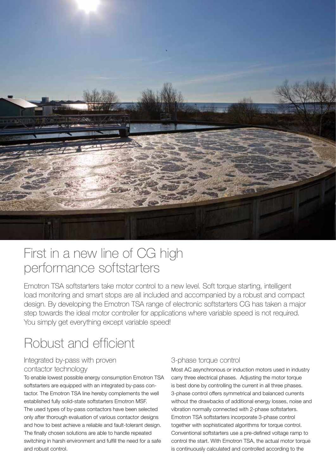

# First in a new line of CG high performance softstarters

Emotron TSA softstarters take motor control to a new level. Soft torque starting, intelligent load monitoring and smart stops are all included and accompanied by a robust and compact design. By developing the Emotron TSA range of electronic softstarters CG has taken a major step towards the ideal motor controller for applications where variable speed is not required. You simply get everything except variable speed!

# Robust and efficient

### Integrated by-pass with proven contactor technology

To enable lowest possible energy consumption Emotron TSA softstarters are equipped with an integrated by-pass contactor. The Emotron TSA line hereby complements the well established fully solid-state softstarters Emotron MSF. The used types of by-pass contactors have been selected only after thorough evaluation of various contactor designs and how to best achieve a reliable and fault-tolerant design. The finally chosen solutions are able to handle repeated switching in harsh environment and fulfill the need for a safe and robust control.

## 3-phase torque control

Most AC asynchronous or induction motors used in industry carry three electrical phases. Adjusting the motor torque is best done by controlling the current in all three phases. 3-phase control offers symmetrical and balanced currents without the drawbacks of additional energy losses, noise and vibration normally connected with 2-phase softstarters. Emotron TSA softstarters incorporate 3-phase control together with sophisticated algorithms for torque control. Conventional softstarters use a pre-defined voltage ramp to control the start. With Emotron TSA, the actual motor torque is continuously calculated and controlled according to the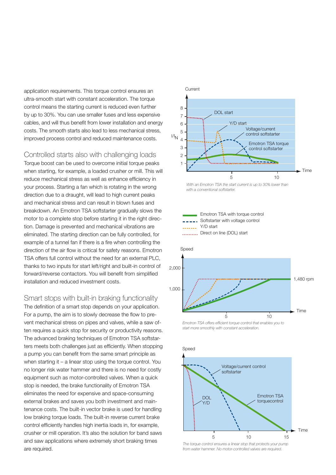application requirements. This torque control ensures an ultra-smooth start with constant acceleration. The torque control means the starting current is reduced even further by up to 30%. You can use smaller fuses and less expensive cables, and will thus benefit from lower installation and energy costs. The smooth starts also lead to less mechanical stress, improved process control and reduced maintenance costs.

Controlled starts also with challenging loads Torque boost can be used to overcome initial torque peaks when starting, for example, a loaded crusher or mill. This will reduce mechanical stress as well as enhance efficiency in your process. Starting a fan which is rotating in the wrong direction due to a draught, will lead to high current peaks and mechanical stress and can result in blown fuses and breakdown. An Emotron TSA softstarter gradually slows the motor to a complete stop before starting it in the right direction. Damage is prevented and mechanical vibrations are eliminated. The starting direction can be fully controlled, for example of a tunnel fan if there is a fire when controlling the direction of the air flow is critical for safety reasons. Emotron TSA offers full control without the need for an external PLC, thanks to two inputs for start left/right and built-in control of forward/reverse contactors. You will benefit from simplified installation and reduced investment costs.

Smart stops with built-in braking functionality The definition of a smart stop depends on your application. For a pump, the aim is to slowly decrease the flow to prevent mechanical stress on pipes and valves, while a saw often requires a quick stop for security or productivity reasons. The advanced braking techniques of Emotron TSA softstarters meets both challenges just as efficiently. When stopping a pump you can benefit from the same smart principle as when starting it – a linear stop using the torque control. You no longer risk water hammer and there is no need for costly equipment such as motor-controlled valves. When a quick stop is needed, the brake functionality of Emotron TSA eliminates the need for expensive and space-consuming external brakes and saves you both investment and maintenance costs. The built-in vector brake is used for handling low braking torque loads. The built-in reverse current brake control efficiently handles high inertia loads in, for example, crusher or mill operation. It's also the solution for band saws and saw applications where extremely short braking times are required.



*With an Emotron TSA the start current is up to 30% lower than with a conventional softstarter.*





*Emotron TSA offers efficient torque control that enables you to start more smoothly with constant acceleration.*



*The torque control ensures a linear stop that protects your pump from water hammer. No motor-controlled valves are required.*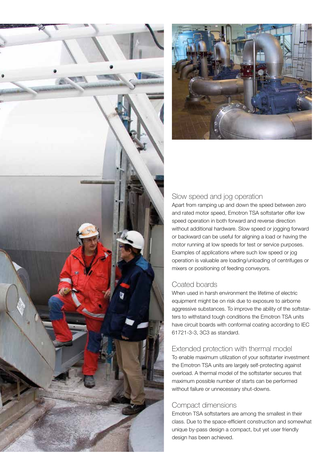



### Slow speed and jog operation

Apart from ramping up and down the speed between zero and rated motor speed, Emotron TSA softstarter offer low speed operation in both forward and reverse direction without additional hardware. Slow speed or jogging forward or backward can be useful for aligning a load or having the motor running at low speeds for test or service purposes. Examples of applications where such low speed or jog operation is valuable are loading/unloading of centrifuges or mixers or positioning of feeding conveyors.

## Coated boards

When used in harsh environment the lifetime of electric equipment might be on risk due to exposure to airborne aggressive substances. To improve the ability of the softstarters to withstand tough conditions the Emotron TSA units have circuit boards with conformal coating according to IEC 61721-3-3, 3C3 as standard.

## Extended protection with thermal model

To enable maximum utilization of your softstarter investment the Emotron TSA units are largely self-protecting against overload. A thermal model of the softstarter secures that maximum possible number of starts can be performed without failure or unnecessary shut-downs.

### Compact dimensions

Emotron TSA softstarters are among the smallest in their class. Due to the space-efficient construction and somewhat unique by-pass design a compact, but yet user friendly design has been achieved.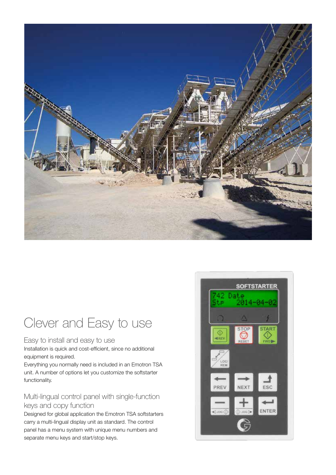

# Clever and Easy to use

#### Easy to install and easy to use

Installation is quick and cost-efficient, since no additional equipment is required.

Everything you normally need is included in an Emotron TSA unit. A number of options let you customize the softstarter functionality.

# Multi-lingual control panel with single-function keys and copy function

Designed for global application the Emotron TSA softstarters carry a multi-lingual display unit as standard. The control panel has a menu system with unique menu numbers and separate menu keys and start/stop keys.

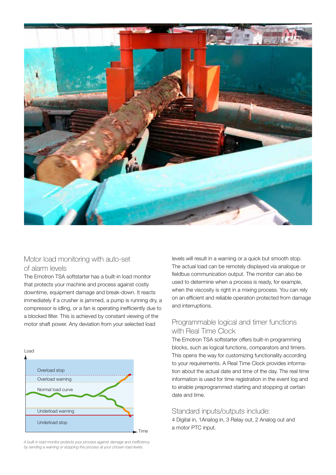

### Motor load monitoring with auto-set of alarm levels

The Emotron TSA softstarter has a built-in load monitor that protects your machine and process against costly downtime, equipment damage and break-down. It reacts immediately if a crusher is jammed, a pump is running dry, a compressor is idling, or a fan is operating inefficiently due to a blocked filter. This is achieved by constant viewing of the motor shaft power. Any deviation from your selected load



*A built-in load monitor protects your process against damage and inefficiency by sending a warning or stopping the process at your chosen load levels.*

levels will result in a warning or a quick but smooth stop. The actual load can be remotely displayed via analogue or fieldbus communication output. The monitor can also be used to determine when a process is ready, for example, when the viscosity is right in a mixing process. You can rely on an efficient and reliable operation protected from damage and interruptions.

### Programmable logical and timer functions with Real Time Clock

The Emotron TSA softstarter offers built-in programming blocks, such as logical functions, comparators and timers. This opens the way for customizing functionality according to your requirements. A Real Time Clock provides information about the actual date and time of the day. The real time information is used for time registration in the event log and to enable preprogrammed starting and stopping at certain date and time.

#### Standard inputs/outputs include:

4 Digital in, 1AnaIog in, 3 Relay out, 2 Analog out and a motor PTC input.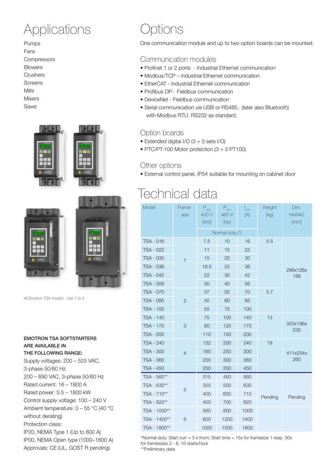# Applications

Pumps Fans **Compressors** Blowers **Crushers** Screens Mills Mixers Saws





*All Emotron TSA models - size 1 to 4*

| EMOTRON TSA SOFTSTARTERS<br>ARE AVAILABLE IN<br>THE FOLLOWING RANGE: |
|----------------------------------------------------------------------|
| Supply voltages: 200 - 525 VAC,                                      |
| 3-phase 50/60 Hz                                                     |
| 200 - 690 VAC, 3-phase 50/60 Hz                                      |
| Rated current: 16 – 1800 A                                           |
| Rated power: 5.5 – 1800 kW                                           |
| Control supply voltage: 100 - 240 V                                  |
| Ambient temperature: $0 - 55$ °C (40 °C                              |
| without derating)                                                    |
| Protection class:                                                    |
| IP20, NEMA Type 1 (Up to 800 A)                                      |
| IP00, NEMA Open type (1000–1800 A)                                   |
| Approvals: CE (UL, GOST R pending)                                   |

# Options

One communication module and up to two option boards can be mounted.

#### Communication modules

- Profinet 1 or 2 ports Industrial Ethernet communication
- Modbus/TCP Industrial Ethernet communication
- EtherCAT Industrial Ethernet communication
- Profibus DP- Fieldbus communication
- DeviceNet Fieldbus communication
- Serial communication via USB or RS485, (later also Bluetooth) with Modbus RTU. RS232 as standard.

### Option boards

- Extended digital I/O (3 + 3 sets I/O)
- PTC/PT-100 Motor protection (3 + 3 PT100)

#### Other options

• External control panel, IP54 suitable for mounting on cabinet door

# Technical data

| Model            | Frame-<br>size | $P_{\text{mot}}$<br>400 V<br>[kW] | $P_{\text{mot}}$<br>460 V<br>[hp] | I<br>nom<br>[A] | Weight<br>[kg]        | Dim.<br><b>HxWxD</b><br>[mm] |
|------------------|----------------|-----------------------------------|-----------------------------------|-----------------|-----------------------|------------------------------|
|                  |                | Normal duty (*)                   |                                   |                 |                       |                              |
| <b>TSA - 016</b> | $\mathbf{1}$   | 7.5                               | 10                                | 16              | 5.5                   | 296x126x<br>188              |
| <b>TSA - 022</b> |                | 11                                | 15                                | 22              |                       |                              |
| <b>TSA - 030</b> |                | 15                                | 20                                | 30              |                       |                              |
| <b>TSA - 036</b> |                | 18.5                              | 25                                | 36              |                       |                              |
| <b>TSA - 042</b> |                | 22                                | 30                                | 42              |                       |                              |
| <b>TSA - 056</b> |                | 30                                | 40                                | 56              |                       |                              |
| <b>TSA - 070</b> | $\overline{2}$ | 37                                | 50                                | 70              | 5.7                   |                              |
| <b>TSA - 085</b> |                | 45                                | 60                                | 85              |                       |                              |
| <b>TSA - 100</b> |                | 55                                | 75                                | 100             |                       |                              |
| <b>TSA - 140</b> | 3              | 75                                | 100                               | 140             | 13                    | 323x196x<br>235              |
| <b>TSA - 170</b> |                | 90                                | 125                               | 170             |                       |                              |
| <b>TSA - 200</b> |                | 110                               | 150                               | 200             |                       |                              |
| <b>TSA - 240</b> | $\overline{4}$ | 132                               | 200                               | 240             | 19<br>411x254x<br>260 |                              |
| <b>TSA - 300</b> |                | 160                               | 250                               | 300             |                       |                              |
| <b>TSA - 360</b> |                | 200                               | 300                               | 360             |                       |                              |
| TSA - 450        |                | 250                               | 350                               | 450             |                       |                              |
| TSA - 560**      | 5              | 315                               | 450                               | 560             | Pending               |                              |
| TSA - 630**      |                | 355                               | 500                               | 630             |                       |                              |
| TSA - 710**      |                | 400                               | 600                               | 710             |                       | Pending                      |
| TSA - 820**      |                | 450                               | 700                               | 820             |                       |                              |
| TSA - 1000**     | 6              | 560                               | 800                               | 1000            |                       |                              |
| TSA - 1400**     |                | 800                               | 1200                              | 1400            |                       |                              |
| TSA - 1800**     |                | 1000                              | 1500                              | 1800            |                       |                              |

\*Normal duty: Start curr =  $3 \times$  Inom, Start time =  $15s$  for framesize 1 resp. 30s for framesizes 2 - 6, 10 starts/hour

\*\*Preliminary data